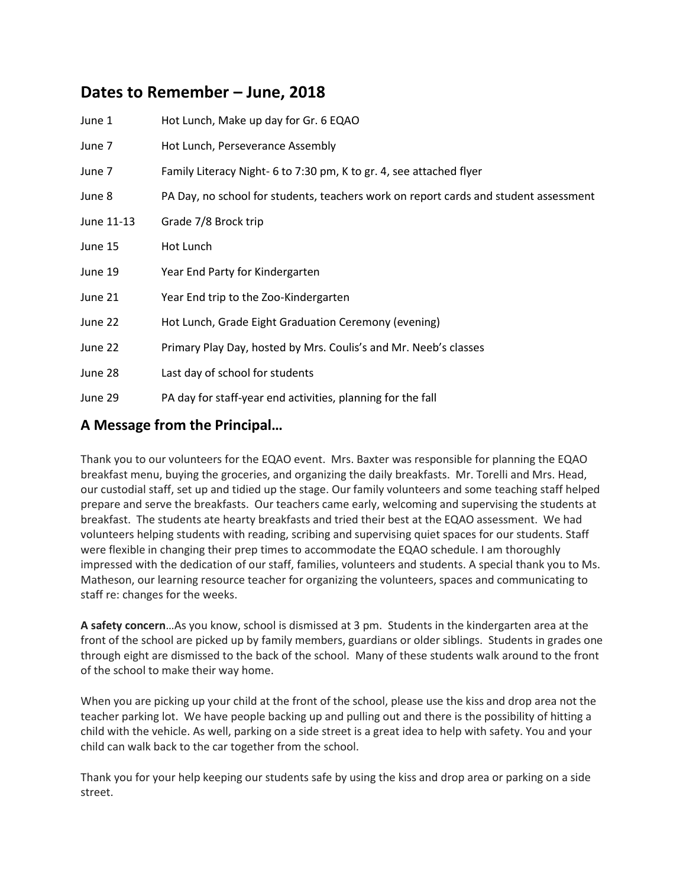# **Dates to Remember – June, 2018**

| June 1     | Hot Lunch, Make up day for Gr. 6 EQAO                                                |
|------------|--------------------------------------------------------------------------------------|
| June 7     | Hot Lunch, Perseverance Assembly                                                     |
| June 7     | Family Literacy Night- 6 to 7:30 pm, K to gr. 4, see attached flyer                  |
| June 8     | PA Day, no school for students, teachers work on report cards and student assessment |
| June 11-13 | Grade 7/8 Brock trip                                                                 |
| June 15    | Hot Lunch                                                                            |
| June 19    | Year End Party for Kindergarten                                                      |
| June 21    | Year End trip to the Zoo-Kindergarten                                                |
| June 22    | Hot Lunch, Grade Eight Graduation Ceremony (evening)                                 |
| June 22    | Primary Play Day, hosted by Mrs. Coulis's and Mr. Neeb's classes                     |
| June 28    | Last day of school for students                                                      |
| June 29    | PA day for staff-year end activities, planning for the fall                          |

### **A Message from the Principal…**

Thank you to our volunteers for the EQAO event. Mrs. Baxter was responsible for planning the EQAO breakfast menu, buying the groceries, and organizing the daily breakfasts. Mr. Torelli and Mrs. Head, our custodial staff, set up and tidied up the stage. Our family volunteers and some teaching staff helped prepare and serve the breakfasts. Our teachers came early, welcoming and supervising the students at breakfast. The students ate hearty breakfasts and tried their best at the EQAO assessment. We had volunteers helping students with reading, scribing and supervising quiet spaces for our students. Staff were flexible in changing their prep times to accommodate the EQAO schedule. I am thoroughly impressed with the dedication of our staff, families, volunteers and students. A special thank you to Ms. Matheson, our learning resource teacher for organizing the volunteers, spaces and communicating to staff re: changes for the weeks.

**A safety concern**…As you know, school is dismissed at 3 pm. Students in the kindergarten area at the front of the school are picked up by family members, guardians or older siblings. Students in grades one through eight are dismissed to the back of the school. Many of these students walk around to the front of the school to make their way home.

When you are picking up your child at the front of the school, please use the kiss and drop area not the teacher parking lot. We have people backing up and pulling out and there is the possibility of hitting a child with the vehicle. As well, parking on a side street is a great idea to help with safety. You and your child can walk back to the car together from the school.

Thank you for your help keeping our students safe by using the kiss and drop area or parking on a side street.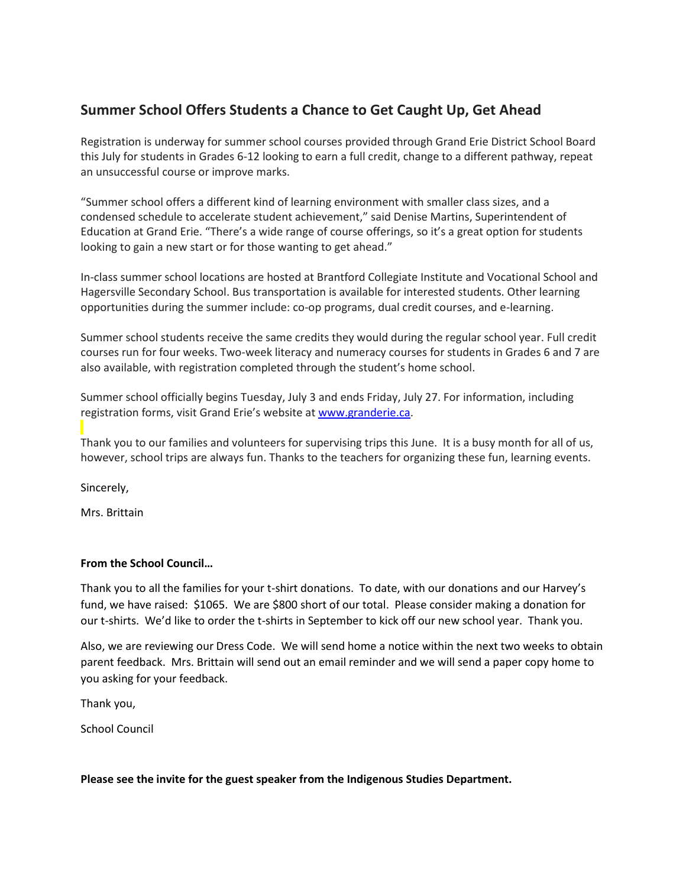## **Summer School Offers Students a Chance to Get Caught Up, Get Ahead**

Registration is underway for summer school courses provided through Grand Erie District School Board this July for students in Grades 6-12 looking to earn a full credit, change to a different pathway, repeat an unsuccessful course or improve marks.

"Summer school offers a different kind of learning environment with smaller class sizes, and a condensed schedule to accelerate student achievement," said Denise Martins, Superintendent of Education at Grand Erie. "There's a wide range of course offerings, so it's a great option for students looking to gain a new start or for those wanting to get ahead."

In-class summer school locations are hosted at Brantford Collegiate Institute and Vocational School and Hagersville Secondary School. Bus transportation is available for interested students. Other learning opportunities during the summer include: co-op programs, dual credit courses, and e-learning.

Summer school students receive the same credits they would during the regular school year. Full credit courses run for four weeks. Two-week literacy and numeracy courses for students in Grades 6 and 7 are also available, with registration completed through the student's home school.

Summer school officially begins Tuesday, July 3 and ends Friday, July 27. For information, including registration forms, visit Grand Erie's website at [www.granderie.ca.](http://www.granderie.ca/)

Thank you to our families and volunteers for supervising trips this June. It is a busy month for all of us, however, school trips are always fun. Thanks to the teachers for organizing these fun, learning events.

Sincerely,

Mrs. Brittain

### **From the School Council…**

Thank you to all the families for your t-shirt donations. To date, with our donations and our Harvey's fund, we have raised: \$1065. We are \$800 short of our total. Please consider making a donation for our t-shirts. We'd like to order the t-shirts in September to kick off our new school year. Thank you.

Also, we are reviewing our Dress Code. We will send home a notice within the next two weeks to obtain parent feedback. Mrs. Brittain will send out an email reminder and we will send a paper copy home to you asking for your feedback.

Thank you,

School Council

#### **Please see the invite for the guest speaker from the Indigenous Studies Department.**